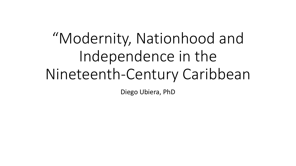# "Modernity, Nationhood and Independence in the Nineteenth-Century Caribbean

Diego Ubiera, PhD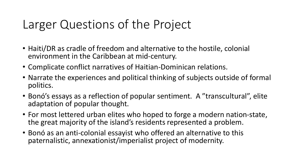## Larger Questions of the Project

- Haiti/DR as cradle of freedom and alternative to the hostile, colonial environment in the Caribbean at mid-century.
- Complicate conflict narratives of Haitian-Dominican relations.
- Narrate the experiences and political thinking of subjects outside of formal politics.
- Bonó's essays as a reflection of popular sentiment. A "transcultural", elite adaptation of popular thought.
- For most lettered urban elites who hoped to forge a modern nation-state, the great majority of the island's residents represented a problem.
- Bonó as an anti-colonial essayist who offered an alternative to this paternalistic, annexationist/imperialist project of modernity.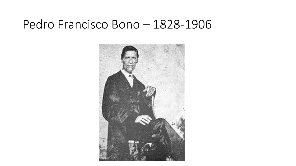#### Pedro Francisco Bono – 1828-1906

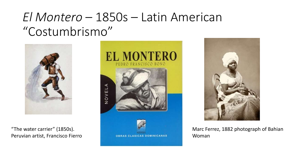## *El Montero* – 1850s – Latin American "Costumbrismo"



"The water carrier" (1850s). Peruvian artist, Francisco Fierro





Marc Ferrez, 1882 photograph of Bahian Woman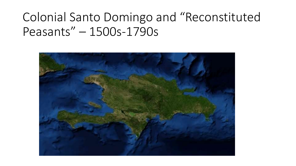## Colonial Santo Domingo and "Reconstituted Peasants" – 1500s-1790s

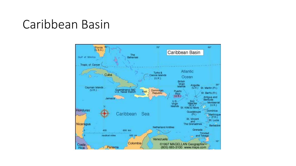### Caribbean Basin

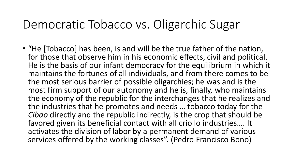### Democratic Tobacco vs. Oligarchic Sugar

• "He [Tobacco] has been, is and will be the true father of the nation, for those that observe him in his economic effects, civil and political. He is the basis of our infant democracy for the equilibrium in which it maintains the fortunes of all individuals, and from there comes to be the most serious barrier of possible oligarchies; he was and is the most firm support of our autonomy and he is, finally, who maintains the economy of the republic for the interchanges that he realizes and the industries that he promotes and needs … tobacco today for the *Cibao* directly and the republic indirectly, is the crop that should be favored given its beneficial contact with all criollo industries…. It activates the division of labor by a permanent demand of various services offered by the working classes". (Pedro Francisco Bono)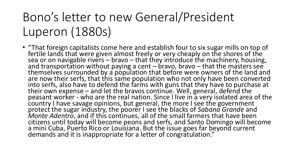## Bono's letter to new General/President Luperon (1880s)

• "That foreign capitalists come here and establish four to six sugar mills on top of fertile lands that were given almost freely or very cheaply on the shores of the sea or on navigable rivers – bravo – that they introduce the machinery, housing, and transportation without paying a cent – bravo, bravo – that the masters see themselves surrounded by a population that before were owners of the land and are now their serfs, that this same population who not only have been converted into serfs, also have to defend the farms with guns that they have to purchase at their own expense – and let the bravos continue. Well, general, defend the peasant worker - who are the real nation. Since I live in a very isolated area of the country I have savage opinions, but general, the more I see the government protect the sugar industry, the poorer I see the blacks of *Sabana Grande* and *Monte Adentro*, and if this continues, all of the small farmers that have been citizens until today will become peons and serfs, and Santo Domingo will become a mini Cuba, Puerto Rico or Louisiana. But the issue goes far beyond current demands and it is inappropriate for a letter of congratulation."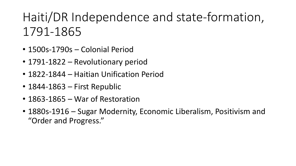## Haiti/DR Independence and state-formation, 1791-1865

- 1500s-1790s Colonial Period
- 1791-1822 Revolutionary period
- 1822-1844 Haitian Unification Period
- 1844-1863 First Republic
- 1863-1865 War of Restoration
- 1880s-1916 Sugar Modernity, Economic Liberalism, Positivism and "Order and Progress."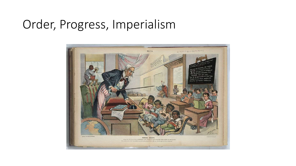## Order, Progress, Imperialism

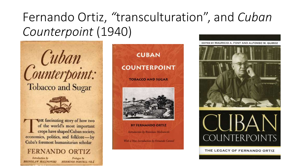## Fernando Ortiz, *"*transculturation", and *Cuban Counterpoint* (1940)





THE fascinating story of how two of the world's most important<br>crops have shaped Cuban society, economics, politics, and folklore-by Cuba's foremost humanitarian scholar

#### **FERNANDO ORTIZ**

Introduction by **BRONISLAW MALINOWSKI** 

Prelogue by **HERMINIO PORTELL VILA** 



EDITED BY MAURICIO A. FONT AND ALFONSO W. QUIROZ





THE LEGACY OF FERNANDO ORTIZ